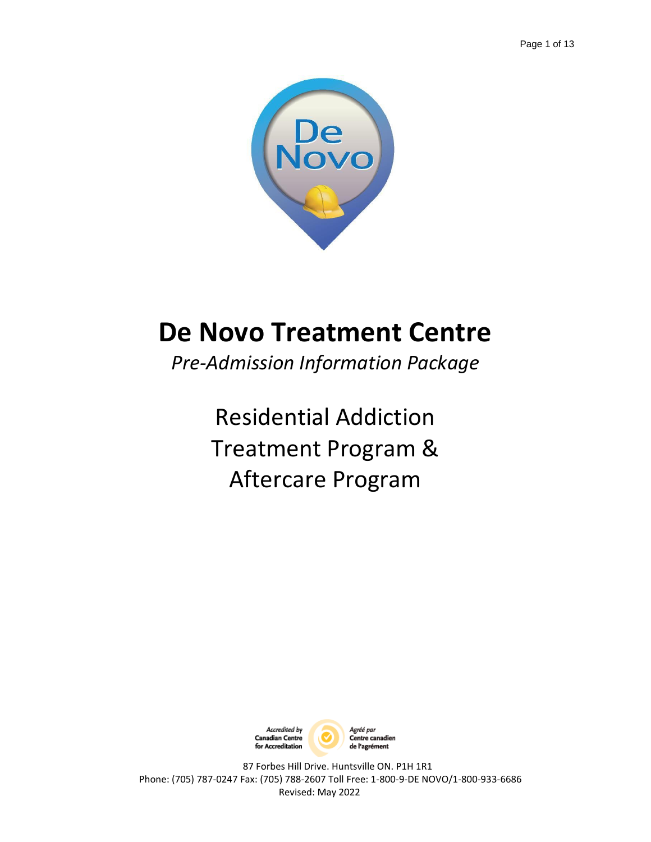

# **De Novo Treatment Centre**

*Pre-Admission Information Package*

Residential Addiction Treatment Program & Aftercare Program

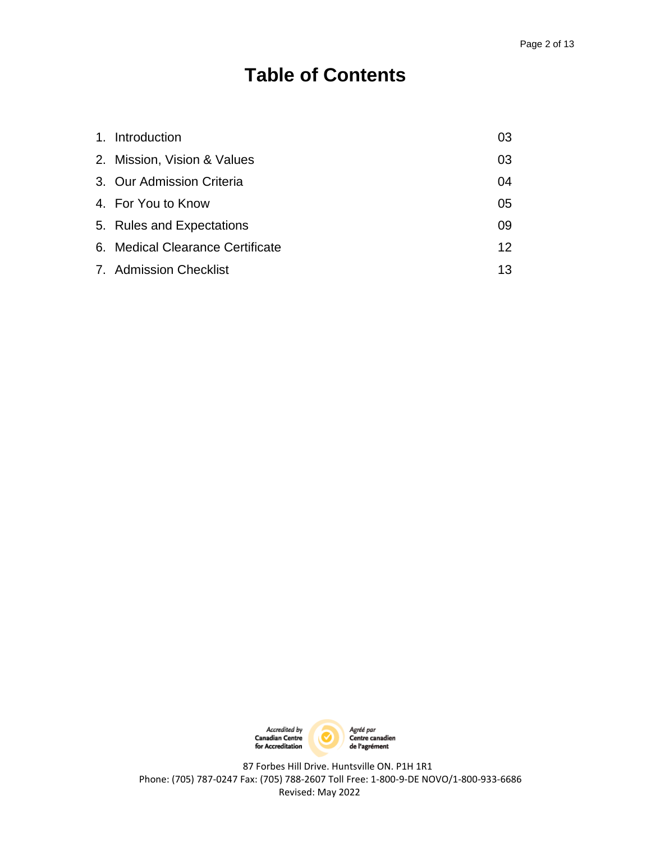## **Table of Contents**

| 1. Introduction                  | 03 |
|----------------------------------|----|
| 2. Mission, Vision & Values      | 03 |
| 3. Our Admission Criteria        | 04 |
| 4. For You to Know               | 05 |
| 5. Rules and Expectations        | 09 |
| 6. Medical Clearance Certificate | 12 |
| 7. Admission Checklist           | 13 |

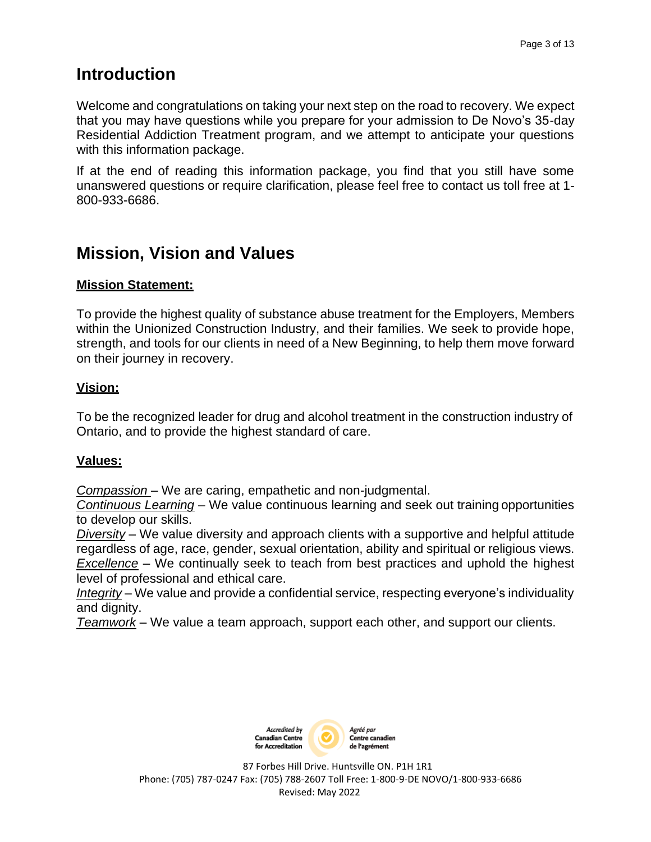## **Introduction**

Welcome and congratulations on taking your next step on the road to recovery. We expect that you may have questions while you prepare for your admission to De Novo's 35-day Residential Addiction Treatment program, and we attempt to anticipate your questions with this information package.

If at the end of reading this information package, you find that you still have some unanswered questions or require clarification, please feel free to contact us toll free at 1- 800-933-6686.

## **Mission, Vision and Values**

#### **Mission Statement:**

To provide the highest quality of substance abuse treatment for the Employers, Members within the Unionized Construction Industry, and their families. We seek to provide hope, strength, and tools for our clients in need of a New Beginning, to help them move forward on their journey in recovery.

#### **Vision:**

To be the recognized leader for drug and alcohol treatment in the construction industry of Ontario, and to provide the highest standard of care.

#### **Values:**

*Compassion* – We are caring, empathetic and non-judgmental.

*Continuous Learning* – We value continuous learning and seek out training opportunities to develop our skills.

*Diversity* – We value diversity and approach clients with a supportive and helpful attitude regardless of age, race, gender, sexual orientation, ability and spiritual or religious views. *Excellence* – We continually seek to teach from best practices and uphold the highest level of professional and ethical care.

*Integrity* – We value and provide a confidential service, respecting everyone's individuality and dignity.

*Teamwork* – We value a team approach, support each other, and support our clients.

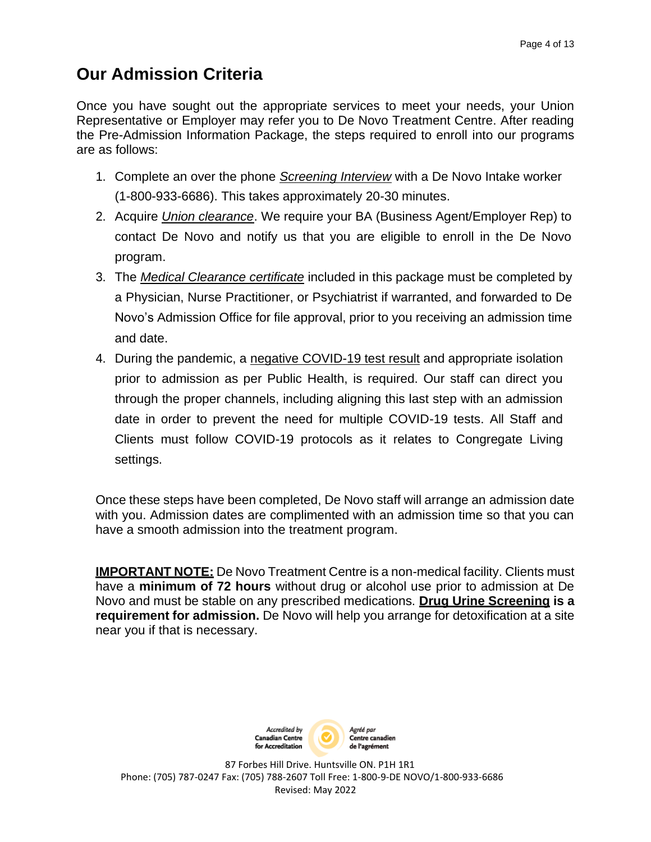## **Our Admission Criteria**

Once you have sought out the appropriate services to meet your needs, your Union Representative or Employer may refer you to De Novo Treatment Centre. After reading the Pre-Admission Information Package, the steps required to enroll into our programs are as follows:

- 1. Complete an over the phone *Screening Interview* with a De Novo Intake worker (1-800-933-6686). This takes approximately 20-30 minutes.
- 2. Acquire *Union clearance*. We require your BA (Business Agent/Employer Rep) to contact De Novo and notify us that you are eligible to enroll in the De Novo program.
- 3. The *Medical Clearance certificate* included in this package must be completed by a Physician, Nurse Practitioner, or Psychiatrist if warranted, and forwarded to De Novo's Admission Office for file approval, prior to you receiving an admission time and date.
- 4. During the pandemic, a negative COVID-19 test result and appropriate isolation prior to admission as per Public Health, is required. Our staff can direct you through the proper channels, including aligning this last step with an admission date in order to prevent the need for multiple COVID-19 tests. All Staff and Clients must follow COVID-19 protocols as it relates to Congregate Living settings.

Once these steps have been completed, De Novo staff will arrange an admission date with you. Admission dates are complimented with an admission time so that you can have a smooth admission into the treatment program.

**IMPORTANT NOTE:** De Novo Treatment Centre is a non-medical facility. Clients must have a **minimum of 72 hours** without drug or alcohol use prior to admission at De Novo and must be stable on any prescribed medications. **Drug Urine Screening is a requirement for admission.** De Novo will help you arrange for detoxification at a site near you if that is necessary.

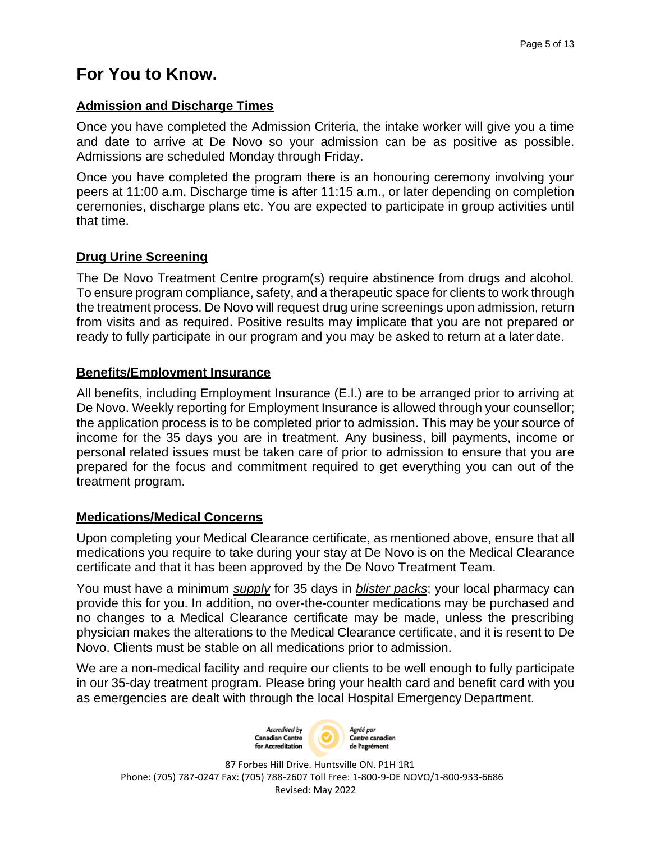## **For You to Know.**

#### **Admission and Discharge Times**

Once you have completed the Admission Criteria, the intake worker will give you a time and date to arrive at De Novo so your admission can be as positive as possible. Admissions are scheduled Monday through Friday.

Once you have completed the program there is an honouring ceremony involving your peers at 11:00 a.m. Discharge time is after 11:15 a.m., or later depending on completion ceremonies, discharge plans etc. You are expected to participate in group activities until that time.

#### **Drug Urine Screening**

The De Novo Treatment Centre program(s) require abstinence from drugs and alcohol. To ensure program compliance, safety, and a therapeutic space for clients to work through the treatment process. De Novo will request drug urine screenings upon admission, return from visits and as required. Positive results may implicate that you are not prepared or ready to fully participate in our program and you may be asked to return at a later date.

#### **Benefits/Employment Insurance**

All benefits, including Employment Insurance (E.I.) are to be arranged prior to arriving at De Novo. Weekly reporting for Employment Insurance is allowed through your counsellor; the application process is to be completed prior to admission. This may be your source of income for the 35 days you are in treatment. Any business, bill payments, income or personal related issues must be taken care of prior to admission to ensure that you are prepared for the focus and commitment required to get everything you can out of the treatment program.

#### **Medications/Medical Concerns**

Upon completing your Medical Clearance certificate, as mentioned above, ensure that all medications you require to take during your stay at De Novo is on the Medical Clearance certificate and that it has been approved by the De Novo Treatment Team.

You must have a minimum *supply* for 35 days in *blister packs*; your local pharmacy can provide this for you. In addition, no over-the-counter medications may be purchased and no changes to a Medical Clearance certificate may be made, unless the prescribing physician makes the alterations to the Medical Clearance certificate, and it is resent to De Novo. Clients must be stable on all medications prior to admission.

We are a non-medical facility and require our clients to be well enough to fully participate in our 35-day treatment program. Please bring your health card and benefit card with you as emergencies are dealt with through the local Hospital Emergency Department.

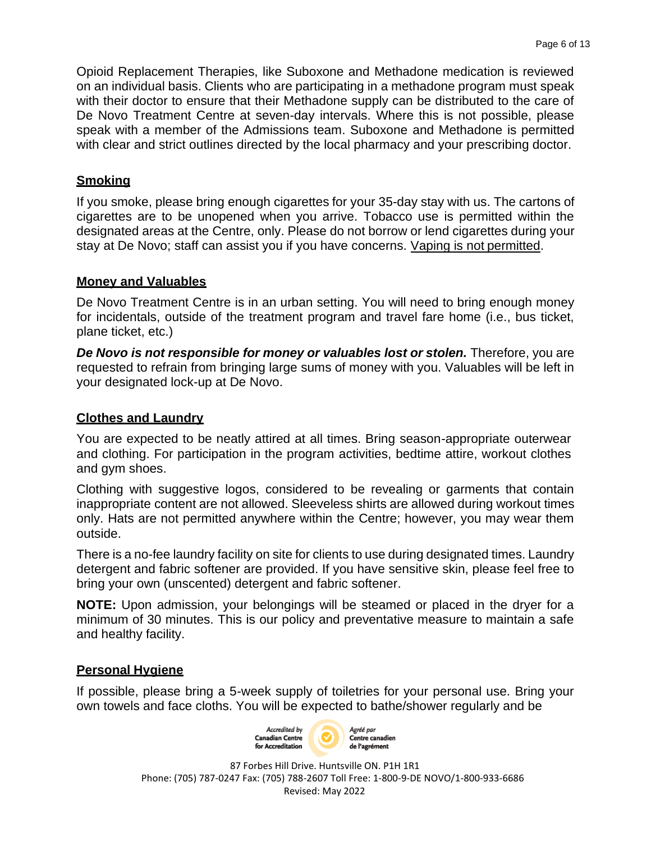Opioid Replacement Therapies, like Suboxone and Methadone medication is reviewed on an individual basis. Clients who are participating in a methadone program must speak with their doctor to ensure that their Methadone supply can be distributed to the care of De Novo Treatment Centre at seven-day intervals. Where this is not possible, please speak with a member of the Admissions team. Suboxone and Methadone is permitted with clear and strict outlines directed by the local pharmacy and your prescribing doctor.

#### **Smoking**

If you smoke, please bring enough cigarettes for your 35-day stay with us. The cartons of cigarettes are to be unopened when you arrive. Tobacco use is permitted within the designated areas at the Centre, only. Please do not borrow or lend cigarettes during your stay at De Novo; staff can assist you if you have concerns. Vaping is not permitted.

#### **Money and Valuables**

De Novo Treatment Centre is in an urban setting. You will need to bring enough money for incidentals, outside of the treatment program and travel fare home (i.e., bus ticket, plane ticket, etc.)

*De Novo is not responsible for money or valuables lost or stolen.* Therefore, you are requested to refrain from bringing large sums of money with you. Valuables will be left in your designated lock-up at De Novo.

#### **Clothes and Laundry**

You are expected to be neatly attired at all times. Bring season-appropriate outerwear and clothing. For participation in the program activities, bedtime attire, workout clothes and gym shoes.

Clothing with suggestive logos, considered to be revealing or garments that contain inappropriate content are not allowed. Sleeveless shirts are allowed during workout times only. Hats are not permitted anywhere within the Centre; however, you may wear them outside.

There is a no-fee laundry facility on site for clients to use during designated times. Laundry detergent and fabric softener are provided. If you have sensitive skin, please feel free to bring your own (unscented) detergent and fabric softener.

**NOTE:** Upon admission, your belongings will be steamed or placed in the dryer for a minimum of 30 minutes. This is our policy and preventative measure to maintain a safe and healthy facility.

#### **Personal Hygiene**

If possible, please bring a 5-week supply of toiletries for your personal use. Bring your own towels and face cloths. You will be expected to bathe/shower regularly and be

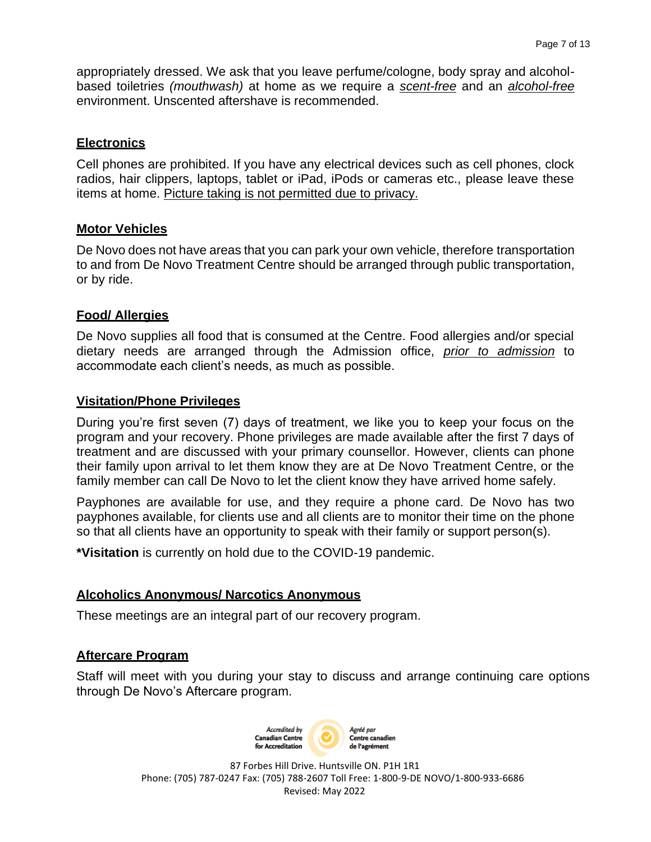appropriately dressed. We ask that you leave perfume/cologne, body spray and alcoholbased toiletries *(mouthwash)* at home as we require a *scent-free* and an *alcohol-free* environment. Unscented aftershave is recommended.

#### **Electronics**

Cell phones are prohibited. If you have any electrical devices such as cell phones, clock radios, hair clippers, laptops, tablet or iPad, iPods or cameras etc., please leave these items at home. Picture taking is not permitted due to privacy.

#### **Motor Vehicles**

De Novo does not have areas that you can park your own vehicle, therefore transportation to and from De Novo Treatment Centre should be arranged through public transportation, or by ride.

#### **Food/ Allergies**

De Novo supplies all food that is consumed at the Centre. Food allergies and/or special dietary needs are arranged through the Admission office, *prior to admission* to accommodate each client's needs, as much as possible.

#### **Visitation/Phone Privileges**

During you're first seven (7) days of treatment, we like you to keep your focus on the program and your recovery. Phone privileges are made available after the first 7 days of treatment and are discussed with your primary counsellor. However, clients can phone their family upon arrival to let them know they are at De Novo Treatment Centre, or the family member can call De Novo to let the client know they have arrived home safely.

Payphones are available for use, and they require a phone card. De Novo has two payphones available, for clients use and all clients are to monitor their time on the phone so that all clients have an opportunity to speak with their family or support person(s).

**\*Visitation** is currently on hold due to the COVID-19 pandemic.

#### **Alcoholics Anonymous/ Narcotics Anonymous**

These meetings are an integral part of our recovery program.

#### **Aftercare Program**

Staff will meet with you during your stay to discuss and arrange continuing care options through De Novo's Aftercare program.

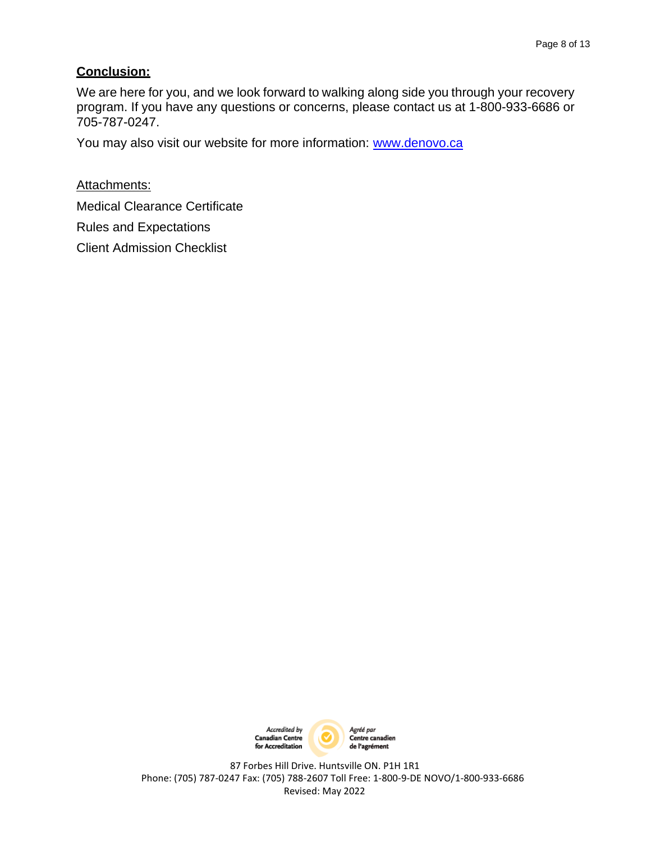#### **Conclusion:**

We are here for you, and we look forward to walking along side you through your recovery program. If you have any questions or concerns, please contact us at 1-800-933-6686 or 705-787-0247.

You may also visit our website for more information: [www.denovo.ca](http://www.denovo.ca/)

Attachments:

Medical Clearance Certificate

Rules and Expectations

Client Admission Checklist

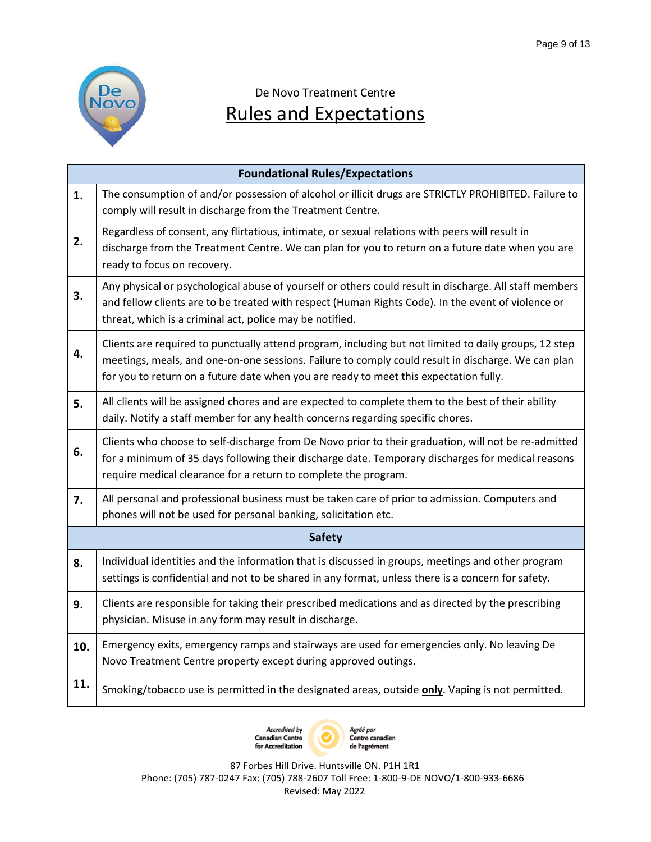

## De Novo Treatment Centre Rules and Expectations

| <b>Foundational Rules/Expectations</b> |                                                                                                                                                                                                                                                                                                      |  |
|----------------------------------------|------------------------------------------------------------------------------------------------------------------------------------------------------------------------------------------------------------------------------------------------------------------------------------------------------|--|
| 1.                                     | The consumption of and/or possession of alcohol or illicit drugs are STRICTLY PROHIBITED. Failure to<br>comply will result in discharge from the Treatment Centre.                                                                                                                                   |  |
| 2.                                     | Regardless of consent, any flirtatious, intimate, or sexual relations with peers will result in<br>discharge from the Treatment Centre. We can plan for you to return on a future date when you are<br>ready to focus on recovery.                                                                   |  |
| 3.                                     | Any physical or psychological abuse of yourself or others could result in discharge. All staff members<br>and fellow clients are to be treated with respect (Human Rights Code). In the event of violence or<br>threat, which is a criminal act, police may be notified.                             |  |
| 4.                                     | Clients are required to punctually attend program, including but not limited to daily groups, 12 step<br>meetings, meals, and one-on-one sessions. Failure to comply could result in discharge. We can plan<br>for you to return on a future date when you are ready to meet this expectation fully. |  |
| 5.                                     | All clients will be assigned chores and are expected to complete them to the best of their ability<br>daily. Notify a staff member for any health concerns regarding specific chores.                                                                                                                |  |
| 6.                                     | Clients who choose to self-discharge from De Novo prior to their graduation, will not be re-admitted<br>for a minimum of 35 days following their discharge date. Temporary discharges for medical reasons<br>require medical clearance for a return to complete the program.                         |  |
| 7.                                     | All personal and professional business must be taken care of prior to admission. Computers and<br>phones will not be used for personal banking, solicitation etc.                                                                                                                                    |  |
|                                        | <b>Safety</b>                                                                                                                                                                                                                                                                                        |  |
| 8.                                     | Individual identities and the information that is discussed in groups, meetings and other program<br>settings is confidential and not to be shared in any format, unless there is a concern for safety.                                                                                              |  |
| 9.                                     | Clients are responsible for taking their prescribed medications and as directed by the prescribing<br>physician. Misuse in any form may result in discharge.                                                                                                                                         |  |
| 10.                                    | Emergency exits, emergency ramps and stairways are used for emergencies only. No leaving De<br>Novo Treatment Centre property except during approved outings.                                                                                                                                        |  |
| 11.                                    | Smoking/tobacco use is permitted in the designated areas, outside only. Vaping is not permitted.                                                                                                                                                                                                     |  |

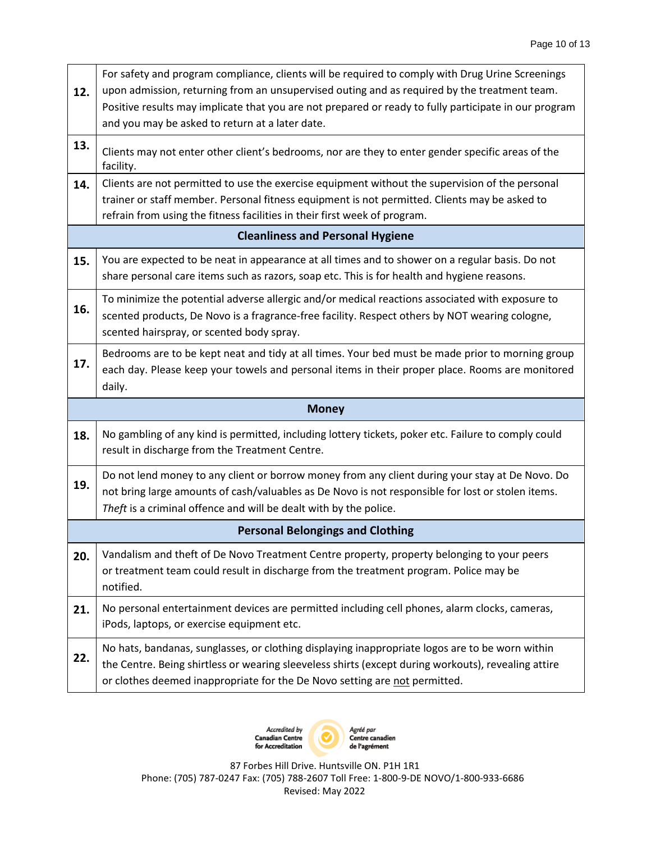| 12.                                     | For safety and program compliance, clients will be required to comply with Drug Urine Screenings<br>upon admission, returning from an unsupervised outing and as required by the treatment team.<br>Positive results may implicate that you are not prepared or ready to fully participate in our program<br>and you may be asked to return at a later date. |  |
|-----------------------------------------|--------------------------------------------------------------------------------------------------------------------------------------------------------------------------------------------------------------------------------------------------------------------------------------------------------------------------------------------------------------|--|
| 13.                                     | Clients may not enter other client's bedrooms, nor are they to enter gender specific areas of the<br>facility.                                                                                                                                                                                                                                               |  |
| 14.                                     | Clients are not permitted to use the exercise equipment without the supervision of the personal<br>trainer or staff member. Personal fitness equipment is not permitted. Clients may be asked to<br>refrain from using the fitness facilities in their first week of program.                                                                                |  |
|                                         | <b>Cleanliness and Personal Hygiene</b>                                                                                                                                                                                                                                                                                                                      |  |
| 15.                                     | You are expected to be neat in appearance at all times and to shower on a regular basis. Do not<br>share personal care items such as razors, soap etc. This is for health and hygiene reasons.                                                                                                                                                               |  |
| 16.                                     | To minimize the potential adverse allergic and/or medical reactions associated with exposure to<br>scented products, De Novo is a fragrance-free facility. Respect others by NOT wearing cologne,<br>scented hairspray, or scented body spray.                                                                                                               |  |
| 17.                                     | Bedrooms are to be kept neat and tidy at all times. Your bed must be made prior to morning group<br>each day. Please keep your towels and personal items in their proper place. Rooms are monitored<br>daily.                                                                                                                                                |  |
|                                         | <b>Money</b>                                                                                                                                                                                                                                                                                                                                                 |  |
| 18.                                     | No gambling of any kind is permitted, including lottery tickets, poker etc. Failure to comply could<br>result in discharge from the Treatment Centre.                                                                                                                                                                                                        |  |
| 19.                                     | Do not lend money to any client or borrow money from any client during your stay at De Novo. Do<br>not bring large amounts of cash/valuables as De Novo is not responsible for lost or stolen items.<br>Theft is a criminal offence and will be dealt with by the police.                                                                                    |  |
| <b>Personal Belongings and Clothing</b> |                                                                                                                                                                                                                                                                                                                                                              |  |
| 20.                                     | Vandalism and theft of De Novo Treatment Centre property, property belonging to your peers<br>or treatment team could result in discharge from the treatment program. Police may be<br>notified.                                                                                                                                                             |  |
| 21.                                     | No personal entertainment devices are permitted including cell phones, alarm clocks, cameras,<br>iPods, laptops, or exercise equipment etc.                                                                                                                                                                                                                  |  |
| 22.                                     | No hats, bandanas, sunglasses, or clothing displaying inappropriate logos are to be worn within<br>the Centre. Being shirtless or wearing sleeveless shirts (except during workouts), revealing attire<br>or clothes deemed inappropriate for the De Novo setting are not permitted.                                                                         |  |

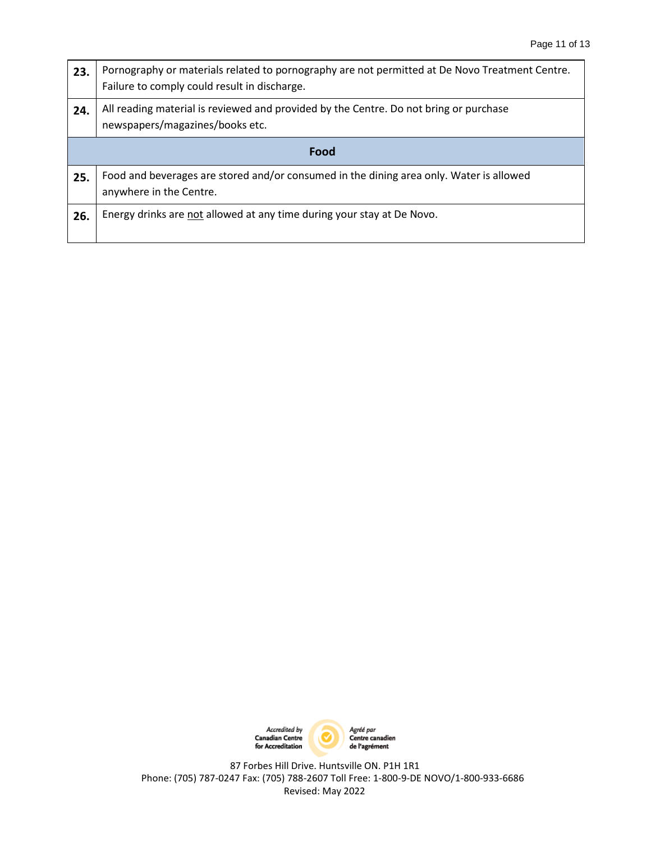| 23.  | Pornography or materials related to pornography are not permitted at De Novo Treatment Centre.<br>Failure to comply could result in discharge. |  |
|------|------------------------------------------------------------------------------------------------------------------------------------------------|--|
| 24.  | All reading material is reviewed and provided by the Centre. Do not bring or purchase<br>newspapers/magazines/books etc.                       |  |
| Food |                                                                                                                                                |  |
| 25.  | Food and beverages are stored and/or consumed in the dining area only. Water is allowed<br>anywhere in the Centre.                             |  |
| 26.  | Energy drinks are not allowed at any time during your stay at De Novo.                                                                         |  |

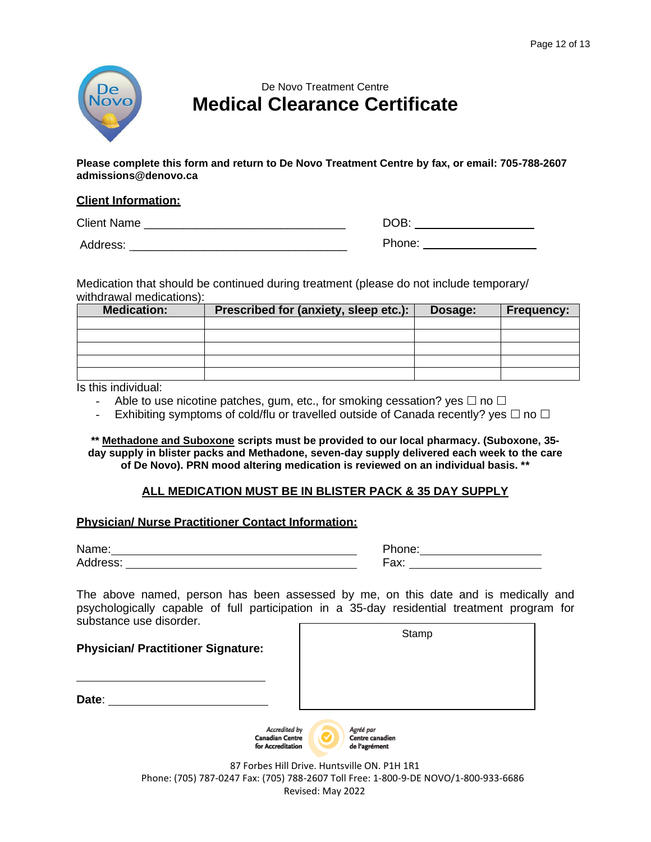

### De Novo Treatment Centre **Medical Clearance Certificate**

**Please complete this form and return to De Novo Treatment Centre by fax, or email: 705-788-2607 [admissions@denovo.ca](mailto:admissions@denovo.ca)**

#### **Client Information:**

Client Name \_\_\_\_\_\_\_\_\_\_\_\_\_\_\_\_\_\_\_\_\_\_\_\_\_\_\_\_\_\_\_

Address: \_\_\_\_\_\_\_\_\_\_\_\_\_\_\_\_\_\_\_\_\_\_\_\_\_\_\_\_\_\_\_\_\_

DOB: the contract of the contract of the contract of the contract of the contract of the contract of the contract of the contract of the contract of the contract of the contract of the contract of the contract of the contr Phone:

Medication that should be continued during treatment (please do not include temporary/ withdrawal medications):

| <b>Medication:</b> | Prescribed for (anxiety, sleep etc.): | Dosage: | <b>Frequency:</b> |
|--------------------|---------------------------------------|---------|-------------------|
|                    |                                       |         |                   |
|                    |                                       |         |                   |
|                    |                                       |         |                   |
|                    |                                       |         |                   |
|                    |                                       |         |                   |

Is this individual:

- Able to use nicotine patches, gum, etc., for smoking cessation? yes  $\Box$  no  $\Box$
- Exhibiting symptoms of cold/flu or travelled outside of Canada recently? yes  $\Box$  no  $\Box$

**\*\* Methadone and Suboxone scripts must be provided to our local pharmacy. (Suboxone, 35 day supply in blister packs and Methadone, seven-day supply delivered each week to the care of De Novo). PRN mood altering medication is reviewed on an individual basis. \*\***

#### **ALL MEDICATION MUST BE IN BLISTER PACK & 35 DAY SUPPLY**

#### **Physician/ Nurse Practitioner Contact Information:**

Name: Address:

| Phone: |  |
|--------|--|
| Fax.   |  |

Stamp

The above named, person has been assessed by me, on this date and is medically and psychologically capable of full participation in a 35-day residential treatment program for substance use disorder.

| <b>Physician/ Practitioner Signature:</b>                    | ------                                        |
|--------------------------------------------------------------|-----------------------------------------------|
| Date:                                                        |                                               |
| Accredited by<br><b>Canadian Centre</b><br>for Accreditation | Agréé par<br>Centre canadien<br>de l'agrément |